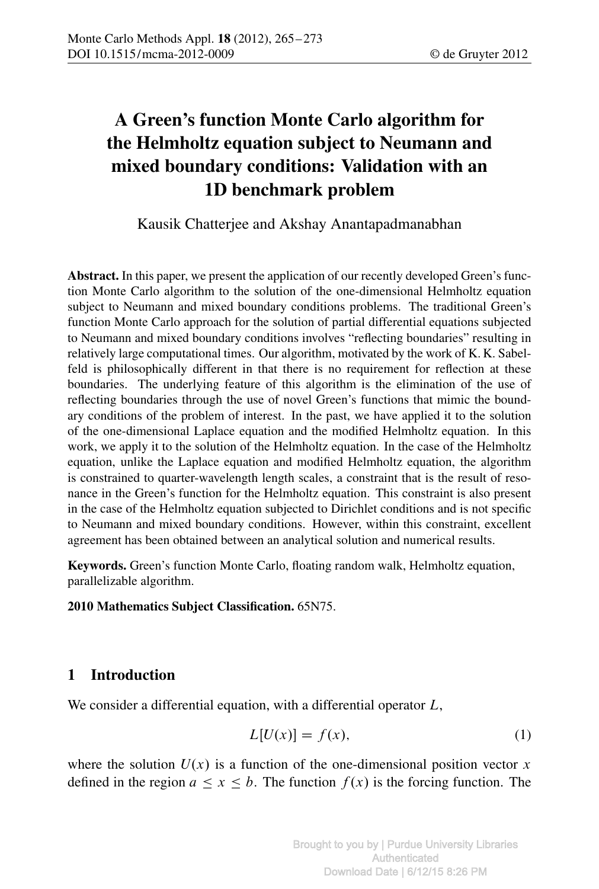# A Green's function Monte Carlo algorithm for the Helmholtz equation subject to Neumann and mixed boundary conditions: Validation with an 1D benchmark problem

Kausik Chatterjee and Akshay Anantapadmanabhan

Abstract. In this paper, we present the application of our recently developed Green's function Monte Carlo algorithm to the solution of the one-dimensional Helmholtz equation subject to Neumann and mixed boundary conditions problems. The traditional Green's function Monte Carlo approach for the solution of partial differential equations subjected to Neumann and mixed boundary conditions involves "reflecting boundaries" resulting in relatively large computational times. Our algorithm, motivated by the work of K. K. Sabelfeld is philosophically different in that there is no requirement for reflection at these boundaries. The underlying feature of this algorithm is the elimination of the use of reflecting boundaries through the use of novel Green's functions that mimic the boundary conditions of the problem of interest. In the past, we have applied it to the solution of the one-dimensional Laplace equation and the modified Helmholtz equation. In this work, we apply it to the solution of the Helmholtz equation. In the case of the Helmholtz equation, unlike the Laplace equation and modified Helmholtz equation, the algorithm is constrained to quarter-wavelength length scales, a constraint that is the result of resonance in the Green's function for the Helmholtz equation. This constraint is also present in the case of the Helmholtz equation subjected to Dirichlet conditions and is not specific to Neumann and mixed boundary conditions. However, within this constraint, excellent agreement has been obtained between an analytical solution and numerical results.

Keywords. Green's function Monte Carlo, floating random walk, Helmholtz equation, parallelizable algorithm.

2010 Mathematics Subject Classification. 65N75.

# 1 Introduction

We consider a differential equation, with a differential operator L,

$$
L[U(x)] = f(x),\tag{1}
$$

where the solution  $U(x)$  is a function of the one-dimensional position vector x defined in the region  $a \le x \le b$ . The function  $f(x)$  is the forcing function. The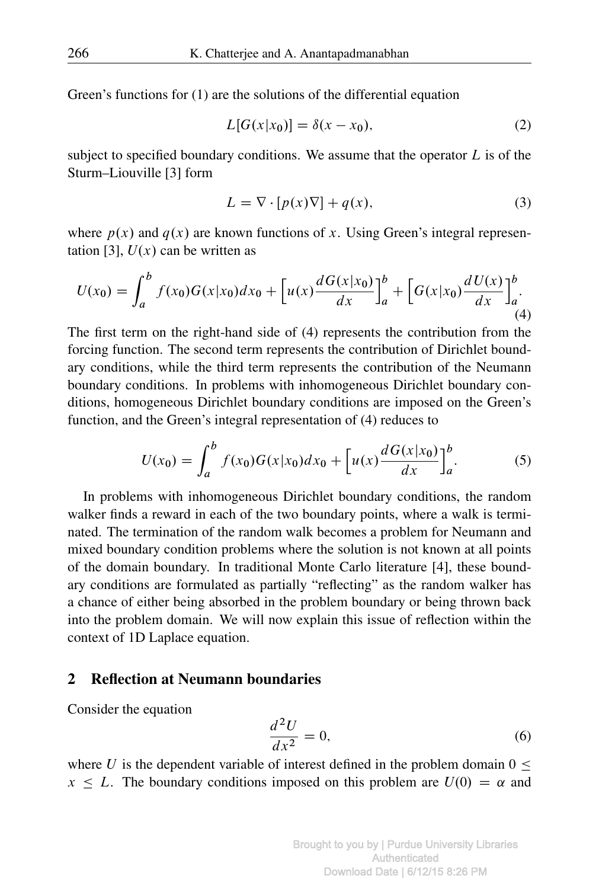Green's functions for (1) are the solutions of the differential equation

$$
L[G(x|x_0)] = \delta(x - x_0),\tag{2}
$$

subject to specified boundary conditions. We assume that the operator  $L$  is of the Sturm–Liouville [3] form

$$
L = \nabla \cdot [p(x)\nabla] + q(x),\tag{3}
$$

where  $p(x)$  and  $q(x)$  are known functions of x. Using Green's integral representation [3],  $U(x)$  can be written as

$$
U(x_0) = \int_a^b f(x_0)G(x|x_0)dx_0 + \left[u(x)\frac{dG(x|x_0)}{dx}\right]_a^b + \left[G(x|x_0)\frac{dU(x)}{dx}\right]_a^b.
$$
\n(4)

The first term on the right-hand side of (4) represents the contribution from the forcing function. The second term represents the contribution of Dirichlet boundary conditions, while the third term represents the contribution of the Neumann boundary conditions. In problems with inhomogeneous Dirichlet boundary conditions, homogeneous Dirichlet boundary conditions are imposed on the Green's function, and the Green's integral representation of (4) reduces to

$$
U(x_0) = \int_a^b f(x_0)G(x|x_0)dx_0 + \left[u(x)\frac{dG(x|x_0)}{dx}\right]_a^b.
$$
 (5)

In problems with inhomogeneous Dirichlet boundary conditions, the random walker finds a reward in each of the two boundary points, where a walk is terminated. The termination of the random walk becomes a problem for Neumann and mixed boundary condition problems where the solution is not known at all points of the domain boundary. In traditional Monte Carlo literature [4], these boundary conditions are formulated as partially "reflecting" as the random walker has a chance of either being absorbed in the problem boundary or being thrown back into the problem domain. We will now explain this issue of reflection within the context of 1D Laplace equation.

### 2 Reflection at Neumann boundaries

Consider the equation

$$
\frac{d^2U}{dx^2} = 0,\t\t(6)
$$

where U is the dependent variable of interest defined in the problem domain  $0 \leq$  $x \leq L$ . The boundary conditions imposed on this problem are  $U(0) = \alpha$  and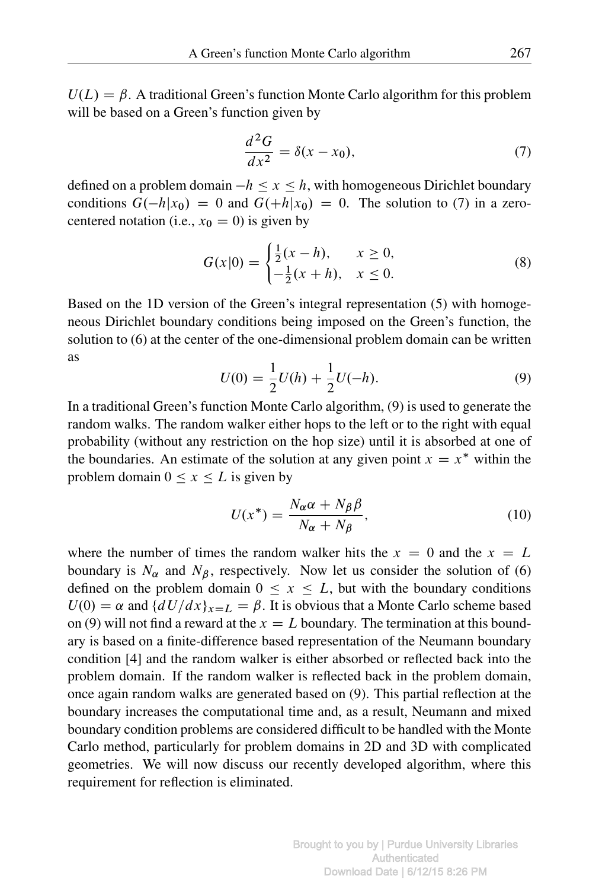$U(L) = \beta$ . A traditional Green's function Monte Carlo algorithm for this problem will be based on a Green's function given by

$$
\frac{d^2G}{dx^2} = \delta(x - x_0),\tag{7}
$$

defined on a problem domain  $-h \le x \le h$ , with homogeneous Dirichlet boundary conditions  $G(-h|x_0) = 0$  and  $G(+h|x_0) = 0$ . The solution to (7) in a zerocentered notation (i.e.,  $x_0 = 0$ ) is given by

$$
G(x|0) = \begin{cases} \frac{1}{2}(x-h), & x \ge 0, \\ -\frac{1}{2}(x+h), & x \le 0. \end{cases}
$$
 (8)

Based on the 1D version of the Green's integral representation (5) with homogeneous Dirichlet boundary conditions being imposed on the Green's function, the solution to (6) at the center of the one-dimensional problem domain can be written as

$$
U(0) = \frac{1}{2}U(h) + \frac{1}{2}U(-h).
$$
\n(9)

In a traditional Green's function Monte Carlo algorithm, (9) is used to generate the random walks. The random walker either hops to the left or to the right with equal probability (without any restriction on the hop size) until it is absorbed at one of the boundaries. An estimate of the solution at any given point  $x = x^*$  within the problem domain  $0 \le x \le L$  is given by

$$
U(x^*) = \frac{N_\alpha \alpha + N_\beta \beta}{N_\alpha + N_\beta},\tag{10}
$$

where the number of times the random walker hits the  $x = 0$  and the  $x = L$ boundary is  $N_{\alpha}$  and  $N_{\beta}$ , respectively. Now let us consider the solution of (6) defined on the problem domain  $0 \le x \le L$ , but with the boundary conditions  $U(0) = \alpha$  and  $\{dU/dx\}_{x=L} = \beta$ . It is obvious that a Monte Carlo scheme based on (9) will not find a reward at the  $x = L$  boundary. The termination at this boundary is based on a finite-difference based representation of the Neumann boundary condition [4] and the random walker is either absorbed or reflected back into the problem domain. If the random walker is reflected back in the problem domain, once again random walks are generated based on (9). This partial reflection at the boundary increases the computational time and, as a result, Neumann and mixed boundary condition problems are considered difficult to be handled with the Monte Carlo method, particularly for problem domains in 2D and 3D with complicated geometries. We will now discuss our recently developed algorithm, where this requirement for reflection is eliminated.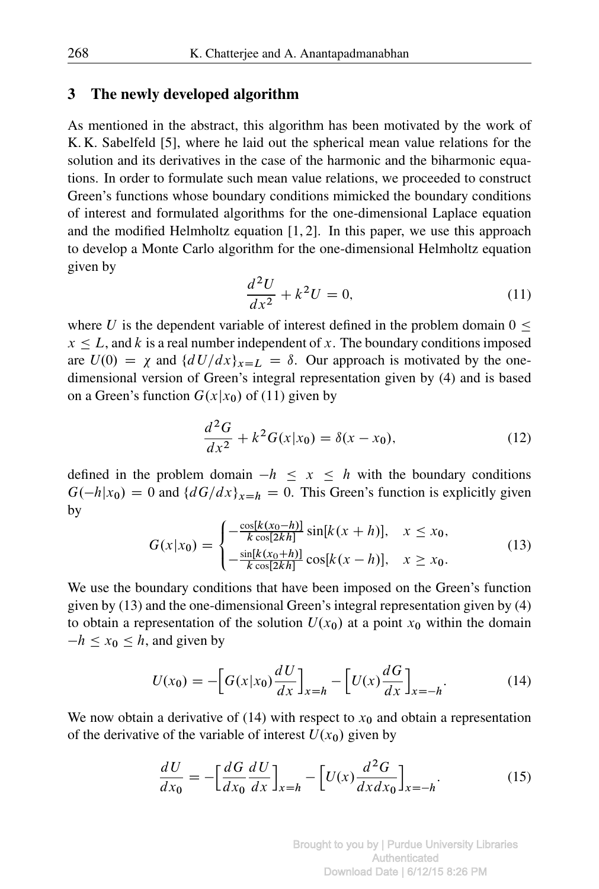#### 3 The newly developed algorithm

As mentioned in the abstract, this algorithm has been motivated by the work of K. K. Sabelfeld [5], where he laid out the spherical mean value relations for the solution and its derivatives in the case of the harmonic and the biharmonic equations. In order to formulate such mean value relations, we proceeded to construct Green's functions whose boundary conditions mimicked the boundary conditions of interest and formulated algorithms for the one-dimensional Laplace equation and the modified Helmholtz equation  $[1, 2]$ . In this paper, we use this approach to develop a Monte Carlo algorithm for the one-dimensional Helmholtz equation given by

$$
\frac{d^2U}{dx^2} + k^2U = 0,\t\t(11)
$$

where U is the dependent variable of interest defined in the problem domain  $0 \le$  $x \leq L$ , and k is a real number independent of x. The boundary conditions imposed are  $U(0) = \chi$  and  $\{dU/dx\}_{x=L} = \delta$ . Our approach is motivated by the onedimensional version of Green's integral representation given by (4) and is based on a Green's function  $G(x|x_0)$  of (11) given by

$$
\frac{d^2G}{dx^2} + k^2G(x|x_0) = \delta(x - x_0),\tag{12}
$$

defined in the problem domain  $-h \le x \le h$  with the boundary conditions  $G(-h|x_0) = 0$  and  $\{dG/dx\}_{x=h} = 0$ . This Green's function is explicitly given by

$$
G(x|x_0) = \begin{cases} -\frac{\cos[k(x_0 - h)]}{k \cos[2kh]} \sin[k(x+h)], & x \le x_0, \\ -\frac{\sin[k(x_0 + h)]}{k \cos[2kh]} \cos[k(x-h)], & x \ge x_0. \end{cases}
$$
(13)

We use the boundary conditions that have been imposed on the Green's function given by (13) and the one-dimensional Green's integral representation given by (4) to obtain a representation of the solution  $U(x_0)$  at a point  $x_0$  within the domain  $-h \leq x_0 \leq h$ , and given by

$$
U(x_0) = -\left[G(x|x_0)\frac{dU}{dx}\right]_{x=h} - \left[U(x)\frac{dG}{dx}\right]_{x=-h}.\tag{14}
$$

We now obtain a derivative of (14) with respect to  $x_0$  and obtain a representation of the derivative of the variable of interest  $U(x_0)$  given by

$$
\frac{dU}{dx_0} = -\left[\frac{dG}{dx_0}\frac{dU}{dx}\right]_{x=h} - \left[U(x)\frac{d^2G}{dx dx_0}\right]_{x=-h}.
$$
\n(15)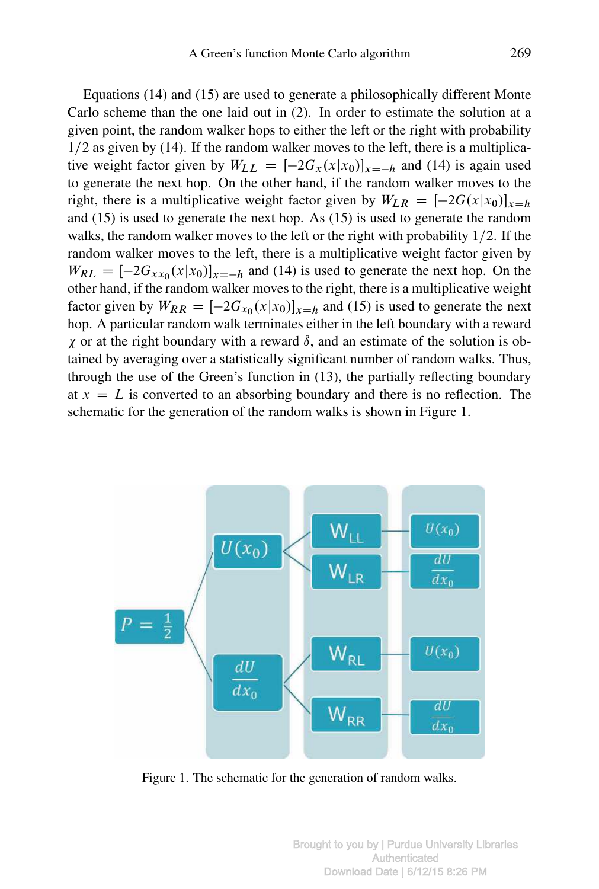Equations (14) and (15) are used to generate a philosophically different Monte Carlo scheme than the one laid out in (2). In order to estimate the solution at a given point, the random walker hops to either the left or the right with probability  $1/2$  as given by (14). If the random walker moves to the left, there is a multiplicative weight factor given by  $W_{LL} = \left[-2G_x(x|x_0)\right]_{x=-h}$  and (14) is again used to generate the next hop. On the other hand, if the random walker moves to the right, there is a multiplicative weight factor given by  $W_{LR} = [-2G(x|x_0)]_{x=h}$ and (15) is used to generate the next hop. As (15) is used to generate the random walks, the random walker moves to the left or the right with probability  $1/2$ . If the random walker moves to the left, there is a multiplicative weight factor given by  $W_{RL} = [-2G_{xx_0}(x|x_0)]_{x=-h}$  and (14) is used to generate the next hop. On the other hand, if the random walker moves to the right, there is a multiplicative weight factor given by  $W_{RR} = [-2G_{x_0}(x|x_0)]_{x=h}$  and (15) is used to generate the next hop. A particular random walk terminates either in the left boundary with a reward  $\chi$  or at the right boundary with a reward  $\delta$ , and an estimate of the solution is obtained by averaging over a statistically significant number of random walks. Thus, through the use of the Green's function in (13), the partially reflecting boundary at  $x = L$  is converted to an absorbing boundary and there is no reflection. The schematic for the generation of the random walks is shown in Figure 1.



Figure 1. The schematic for the generation of random walks.

Brought to you by | Purdue University Libraries Authenticated Download Date | 6/12/15 8:26 PM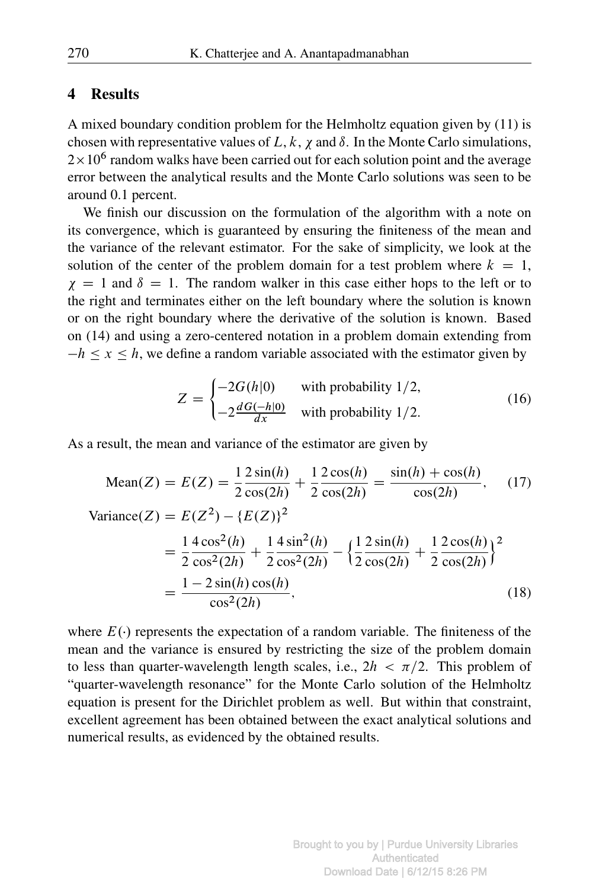# 4 Results

A mixed boundary condition problem for the Helmholtz equation given by (11) is chosen with representative values of L, k,  $\chi$  and  $\delta$ . In the Monte Carlo simulations,  $2 \times 10^6$  random walks have been carried out for each solution point and the average error between the analytical results and the Monte Carlo solutions was seen to be around 0.1 percent.

We finish our discussion on the formulation of the algorithm with a note on its convergence, which is guaranteed by ensuring the finiteness of the mean and the variance of the relevant estimator. For the sake of simplicity, we look at the solution of the center of the problem domain for a test problem where  $k = 1$ ,  $\gamma = 1$  and  $\delta = 1$ . The random walker in this case either hops to the left or to the right and terminates either on the left boundary where the solution is known or on the right boundary where the derivative of the solution is known. Based on (14) and using a zero-centered notation in a problem domain extending from  $-h \le x \le h$ , we define a random variable associated with the estimator given by

$$
Z = \begin{cases} -2G(h|0) & \text{with probability } 1/2, \\ -2\frac{dG(-h|0)}{dx} & \text{with probability } 1/2. \end{cases}
$$
 (16)

As a result, the mean and variance of the estimator are given by

Mean(Z) = 
$$
E(Z) = \frac{1}{2} \frac{2 \sin(h)}{\cos(2h)} + \frac{1}{2} \frac{2 \cos(h)}{\cos(2h)} = \frac{\sin(h) + \cos(h)}{\cos(2h)},
$$
 (17)  
\nVariance(Z) =  $E(Z^2) - \{E(Z)\}^2$   
\n
$$
= \frac{1}{2} \frac{4 \cos^2(h)}{\cos^2(2h)} + \frac{1}{2} \frac{4 \sin^2(h)}{\cos^2(2h)} - \left{\frac{1}{2} \frac{2 \sin(h)}{\cos(2h)} + \frac{1}{2} \frac{2 \cos(h)}{\cos(2h)}\right}^2
$$
\n
$$
= \frac{1 - 2 \sin(h) \cos(h)}{\cos^2(2h)},
$$
 (18)

where  $E(\cdot)$  represents the expectation of a random variable. The finiteness of the mean and the variance is ensured by restricting the size of the problem domain to less than quarter-wavelength length scales, i.e.,  $2h < \pi/2$ . This problem of "quarter-wavelength resonance" for the Monte Carlo solution of the Helmholtz equation is present for the Dirichlet problem as well. But within that constraint, excellent agreement has been obtained between the exact analytical solutions and numerical results, as evidenced by the obtained results.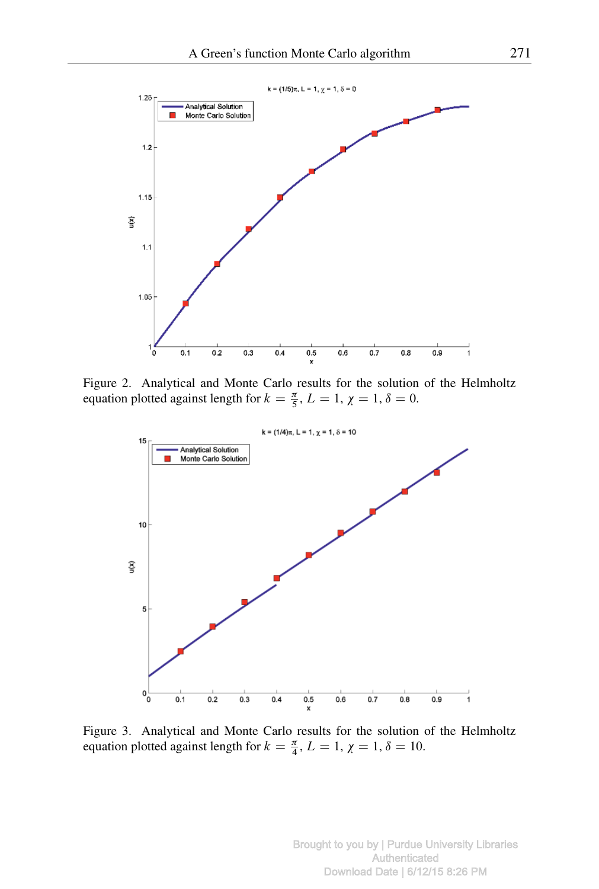

Figure 2. Analytical and Monte Carlo results for the solution of the Helmholtz equation plotted against length for  $k = \frac{\pi}{5}$ ,  $L = 1$ ,  $\chi = 1$ ,  $\delta = 0$ .



Figure 3. Analytical and Monte Carlo results for the solution of the Helmholtz equation plotted against length for  $k = \frac{\pi}{4}$ ,  $L = 1$ ,  $\chi = 1$ ,  $\delta = 10$ .

Brought to you by | Purdue University Libraries Authenticated Download Date | 6/12/15 8:26 PM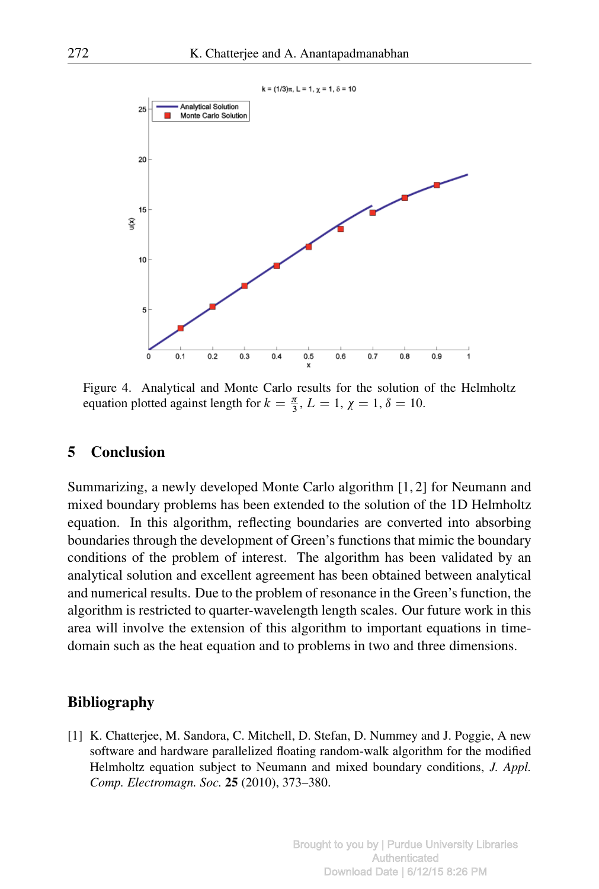

Figure 4. Analytical and Monte Carlo results for the solution of the Helmholtz equation plotted against length for  $k = \frac{\pi}{3}$ ,  $L = 1$ ,  $\chi = 1$ ,  $\delta = 10$ .

## 5 Conclusion

Summarizing, a newly developed Monte Carlo algorithm [1, 2] for Neumann and mixed boundary problems has been extended to the solution of the 1D Helmholtz equation. In this algorithm, reflecting boundaries are converted into absorbing boundaries through the development of Green's functions that mimic the boundary conditions of the problem of interest. The algorithm has been validated by an analytical solution and excellent agreement has been obtained between analytical and numerical results. Due to the problem of resonance in the Green's function, the algorithm is restricted to quarter-wavelength length scales. Our future work in this area will involve the extension of this algorithm to important equations in timedomain such as the heat equation and to problems in two and three dimensions.

#### Bibliography

[1] K. Chatterjee, M. Sandora, C. Mitchell, D. Stefan, D. Nummey and J. Poggie, A new software and hardware parallelized floating random-walk algorithm for the modified Helmholtz equation subject to Neumann and mixed boundary conditions, *J. Appl. Comp. Electromagn. Soc.* 25 (2010), 373–380.